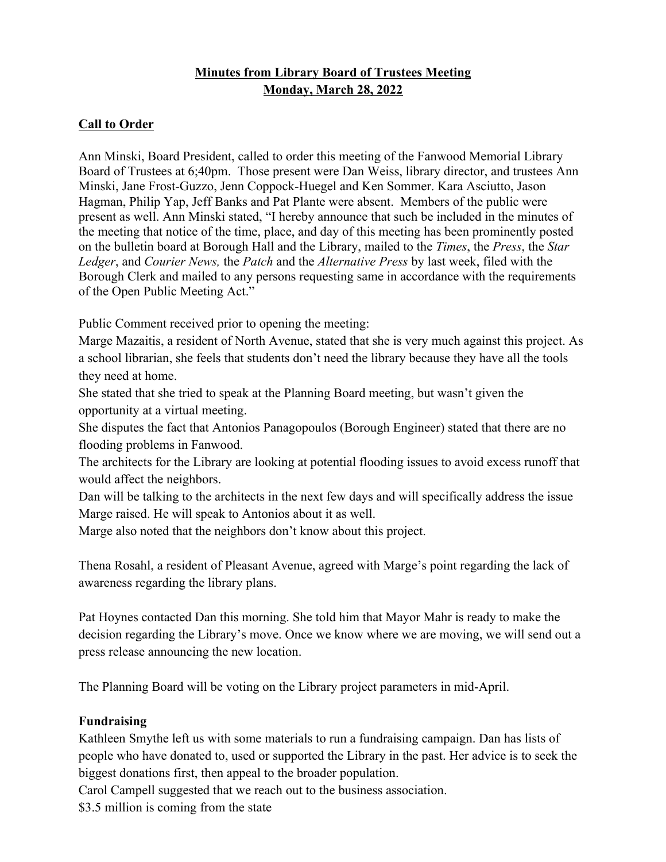## **Minutes from Library Board of Trustees Meeting Monday, March 28, 2022**

## **Call to Order**

Ann Minski, Board President, called to order this meeting of the Fanwood Memorial Library Board of Trustees at 6;40pm. Those present were Dan Weiss, library director, and trustees Ann Minski, Jane Frost-Guzzo, Jenn Coppock-Huegel and Ken Sommer. Kara Asciutto, Jason Hagman, Philip Yap, Jeff Banks and Pat Plante were absent. Members of the public were present as well. Ann Minski stated, "I hereby announce that such be included in the minutes of the meeting that notice of the time, place, and day of this meeting has been prominently posted on the bulletin board at Borough Hall and the Library, mailed to the *Times*, the *Press*, the *Star Ledger*, and *Courier News,* the *Patch* and the *Alternative Press* by last week, filed with the Borough Clerk and mailed to any persons requesting same in accordance with the requirements of the Open Public Meeting Act."

Public Comment received prior to opening the meeting:

Marge Mazaitis, a resident of North Avenue, stated that she is very much against this project. As a school librarian, she feels that students don't need the library because they have all the tools they need at home.

She stated that she tried to speak at the Planning Board meeting, but wasn't given the opportunity at a virtual meeting.

She disputes the fact that Antonios Panagopoulos (Borough Engineer) stated that there are no flooding problems in Fanwood.

The architects for the Library are looking at potential flooding issues to avoid excess runoff that would affect the neighbors.

Dan will be talking to the architects in the next few days and will specifically address the issue Marge raised. He will speak to Antonios about it as well.

Marge also noted that the neighbors don't know about this project.

Thena Rosahl, a resident of Pleasant Avenue, agreed with Marge's point regarding the lack of awareness regarding the library plans.

Pat Hoynes contacted Dan this morning. She told him that Mayor Mahr is ready to make the decision regarding the Library's move. Once we know where we are moving, we will send out a press release announcing the new location.

The Planning Board will be voting on the Library project parameters in mid-April.

## **Fundraising**

Kathleen Smythe left us with some materials to run a fundraising campaign. Dan has lists of people who have donated to, used or supported the Library in the past. Her advice is to seek the biggest donations first, then appeal to the broader population.

Carol Campell suggested that we reach out to the business association.

\$3.5 million is coming from the state